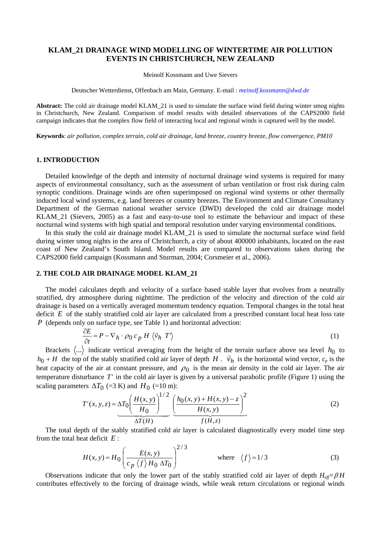# **KLAM\_21 DRAINAGE WIND MODELLING OF WINTERTIME AIR POLLUTION EVENTS IN CHRISTCHURCH, NEW ZEALAND**

Meinolf Kossmann and Uwe Sievers

Deutscher Wetterdienst, Offenbach am Main, Germany. E-mail : *[meinolf.kossmann@dwd.de](mailto:myemailadress@labo.fr)*

**Abstract:** The cold air drainage model KLAM\_21 is used to simulate the surface wind field during winter smog nights in Christchurch, New Zealand. Comparison of model results with detailed observations of the CAPS2000 field campaign indicates that the complex flow field of interacting local and regional winds is captured well by the model.

**Keywords**: *air pollution, complex terrain, cold air drainage, land breeze, country breeze, flow convergence, PM10* 

### **1. INTRODUCTION**

Detailed knowledge of the depth and intensity of nocturnal drainage wind systems is required for many aspects of environmental consultancy, such as the assessment of urban ventilation or frost risk during calm synoptic conditions. Drainage winds are often superimposed on regional wind systems or other thermally induced local wind systems, e.g. land breezes or country breezes. The Environment and Climate Consultancy Department of the German national weather service (DWD) developed the cold air drainage model KLAM\_21 (Sievers, 2005) as a fast and easy-to-use tool to estimate the behaviour and impact of these nocturnal wind systems with high spatial and temporal resolution under varying environmental conditions.

In this study the cold air drainage model KLAM\_21 is used to simulate the nocturnal surface wind field during winter smog nights in the area of Christchurch, a city of about 400000 inhabitants, located on the east coast of New Zealand's South Island. Model results are compared to observations taken during the CAPS2000 field campaign (Kossmann and Sturman, 2004; Corsmeier et al., 2006).

### **2. THE COLD AIR DRAINAGE MODEL KLAM\_21**

The model calculates depth and velocity of a surface based stable layer that evolves from a neutrally stratified, dry atmosphere during nighttime. The prediction of the velocity and direction of the cold air drainage is based on a vertically averaged momentum tendency equation. Temporal changes in the total heat deficit *E* of the stably stratified cold air layer are calculated from a prescribed constant local heat loss rate *P* (depends only on surface type, see Table 1) and horizontal advection:

$$
\frac{\partial E}{\partial t} = P - \nabla_h \cdot \rho_0 \, c_p \, H \, \langle \vec{v}_h \, T' \rangle \tag{1}
$$

Brackets  $\langle ... \rangle$  indicate vertical averaging from the height of the terrain surface above sea level  $h_0$  to the top of the stably stratified cold air layer of depth  $H$ .  $\vec{v}_h$  is the horizontal wind vector,  $c_p$  is the heat capacity of the air at constant pressure, and  $\rho_0$  is the mean air density in the cold air layer. The air temperature disturbance *T*' in the cold air layer is given by a universal parabolic profile (Figure 1) using the scaling parameters  $\Delta T_0$  (=3 K) and  $H_0$  (=10 m):

$$
T'(x, y, z) = \Delta T_0 \left(\frac{H(x, y)}{H_0}\right)^{1/2} \left(\frac{h_0(x, y) + H(x, y) - z}{H(x, y)}\right)^2
$$
(2)  

$$
\Delta T(H)
$$

The total depth of the stably stratified cold air layer is calculated diagnostically every model time step from the total heat deficit *E* :

$$
H(x, y) = H_0 \left( \frac{E(x, y)}{c_p \langle f \rangle H_0 \Delta T_0} \right)^{2/3}
$$
 where  $\langle f \rangle = 1/3$  (3)

Observations indicate that only the lower part of the stably stratified cold air layer of depth *Heff=*β *H* contributes effectively to the forcing of drainage winds, while weak return circulations or regional winds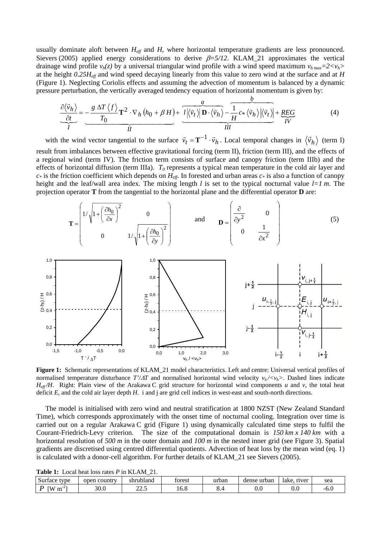usually dominate aloft between  $H_{\text{eff}}$  and *H*, where horizontal temperature gradients are less pronounced. Sievers (2005) applied energy considerations to derive β*=5/12*. KLAM\_21 approximates the vertical drainage wind profile  $v_h(z)$  by a universal triangular wind profile with a wind speed maximum  $v_{h,max}=2\langle v_h\rangle$ at the height *0.25Heff* and wind speed decaying linearly from this value to zero wind at the surface and at *H* (Figure 1). Neglecting Coriolis effects and assuming the advection of momentum is balanced by a dynamic pressure perturbation, the vertically averaged tendency equation of horizontal momentum is given by:

$$
\underbrace{\frac{\partial \langle \vec{v}_h \rangle}{\partial t}}_{I} = -\underbrace{\frac{g \Delta T \langle f \rangle}{T_0} \mathbf{T}^2 \cdot \nabla_h (h_0 + \beta H) + \underbrace{l |\langle \vec{v}_t \rangle| \mathbf{D} \cdot \langle \vec{v}_h \rangle}_{III} - \underbrace{\frac{b}{H} c \cdot \langle \vec{v}_h \rangle |\langle \vec{v}_t \rangle|}_{III} + \underbrace{REG}_{IV}
$$
(4)

with the wind vector tangential to the surface  $\vec{v}_t = \mathbf{T}^{-1} \cdot \vec{v}_h$ . Local temporal changes in  $\langle \vec{v}_h \rangle$  (term I) result from imbalances between effective gravitational forcing (term II), friction (term III), and the effects of a regional wind (term IV). The friction term consists of surface and canopy friction (term IIIb) and the effects of horizontal diffusion (term IIIa).  $T_0$  represents a typical mean temperature in the cold air layer and  $c^*$  is the friction coefficient which depends on  $H_{\text{eff}}$ . In forested and urban areas  $c^*$  is also a function of canopy height and the leaf/wall area index. The mixing length *l* is set to the typical nocturnal value *l=1 m*. The projection operator **T** from the tangential to the horizontal plane and the differential operator **D** are:





**Figure 1:** Schematic representations of KLAM\_21 model characteristics. Left and centre: Universal vertical profiles of normalised temperature disturbance  $T'/\Delta T$  and normalised horizontal wind velocity  $v_h \ll v_h \gg$ . Dashed lines indicate *Heff /H*. Right: Plain view of the Arakawa C grid structure for horizontal wind components *u* and *v*, the total heat deficit *E*, and the cold air layer depth *H*. i and j are grid cell indices in west-east and south-north directions.

The model is initialised with zero wind and neutral stratification at 1800 NZST (New Zealand Standard Time), which corresponds approximately with the onset time of nocturnal cooling. Integration over time is carried out on a regular Arakawa C grid (Figure 1) using dynamically calculated time steps to fulfil the Courant-Friedrich-Levy criterion. The size of the computational domain is *150 km x 140 km* with a horizontal resolution of 500 m in the outer domain and 100 m in the nested inner grid (see Figure 3). Spatial gradients are discretised using centred differential quotients. Advection of heat loss by the mean wind (eq. 1) is calculated with a donor-cell algorithm. For further details of KLAM\_21 see Sievers (2005).

| <b>Table 1:</b> Local heat loss rates $P$ in KLAM 21. |  |  |        |  |  |  |  |  |  |
|-------------------------------------------------------|--|--|--------|--|--|--|--|--|--|
| Surface type lopen country lshrubland                 |  |  | forest |  |  |  |  |  |  |

| $\sim$<br>type<br>Surface | 1 country<br>open | shrubland | torest | urban                         | dense urban | lake.<br>river | sea               |
|---------------------------|-------------------|-----------|--------|-------------------------------|-------------|----------------|-------------------|
| <b>TW</b><br>$\sim$<br>ш  | 30.0              | ΩΩ<br>--- | 10.0   | $\mathbf{u} \cdot \mathbf{v}$ | 0.U         | v.v            | . .<br>--<br>-v.v |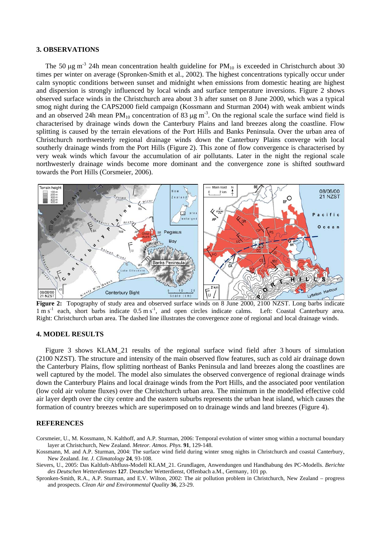## **3. OBSERVATIONS**

The 50  $\mu$ g m<sup>-3</sup> 24h mean concentration health guideline for PM<sub>10</sub> is exceeded in Christchurch about 30 times per winter on average (Spronken-Smith et al., 2002). The highest concentrations typically occur under calm synoptic conditions between sunset and midnight when emissions from domestic heating are highest and dispersion is strongly influenced by local winds and surface temperature inversions. Figure 2 shows observed surface winds in the Christchurch area about 3 h after sunset on 8 June 2000, which was a typical smog night during the CAPS2000 field campaign (Kossmann and Sturman 2004) with weak ambient winds and an observed 24h mean  $PM_{10}$  concentration of 83  $\mu$ g m<sup>-3</sup>. On the regional scale the surface wind field is characterised by drainage winds down the Canterbury Plains and land breezes along the coastline. Flow splitting is caused by the terrain elevations of the Port Hills and Banks Peninsula. Over the urban area of Christchurch northwesterly regional drainage winds down the Canterbury Plains converge with local southerly drainage winds from the Port Hills (Figure 2). This zone of flow convergence is characterised by very weak winds which favour the accumulation of air pollutants. Later in the night the regional scale northwesterly drainage winds become more dominant and the convergence zone is shifted southward towards the Port Hills (Corsmeier, 2006).



Figure 2: Topography of study area and observed surface winds on 8 June 2000, 2100 NZST. Long barbs indicate  $1 \text{ m s}^{-1}$  each, short barbs indicate  $0.5 \text{ m s}^{-1}$ , and open circles indicate calms. Left: Coastal Canterbury area. Right: Christchurch urban area. The dashed line illustrates the convergence zone of regional and local drainage winds.

## **4. MODEL RESULTS**

Figure 3 shows KLAM 21 results of the regional surface wind field after 3 hours of simulation (2100 NZST). The structure and intensity of the main observed flow features, such as cold air drainage down the Canterbury Plains, flow splitting northeast of Banks Peninsula and land breezes along the coastlines are well captured by the model. The model also simulates the observed convergence of regional drainage winds down the Canterbury Plains and local drainage winds from the Port Hills, and the associated poor ventilation (low cold air volume fluxes) over the Christchurch urban area. The minimum in the modelled effective cold air layer depth over the city centre and the eastern suburbs represents the urban heat island, which causes the formation of country breezes which are superimposed on to drainage winds and land breezes (Figure 4).

## **REFERENCES**

- Corsmeier, U., M. Kossmann, N. Kalthoff, and A.P. Sturman, 2006: Temporal evolution of winter smog within a nocturnal boundary layer at Christchurch, New Zealand. *Meteor. Atmos. Phys.* **91**, 129-148.
- Kossmann, M. and A.P. Sturman, 2004: The surface wind field during winter smog nights in Christchurch and coastal Canterbury, New Zealand. *Int. J. Climatology* **24**, 93-108.

Sievers, U., 2005: Das Kaltluft-Abfluss-Modell KLAM\_21. Grundlagen, Anwendungen und Handhabung des PC-Modells. *Berichte des Deutschen Wetterdienstes* **127**. Deutscher Wetterdienst, Offenbach a.M., Germany, 101 pp.

Spronken-Smith, R.A., A.P. Sturman, and E.V. Wilton, 2002: The air pollution problem in Christchurch, New Zealand – progress and prospects. *Clean Air and Environmental Quality* **36**, 23-29.